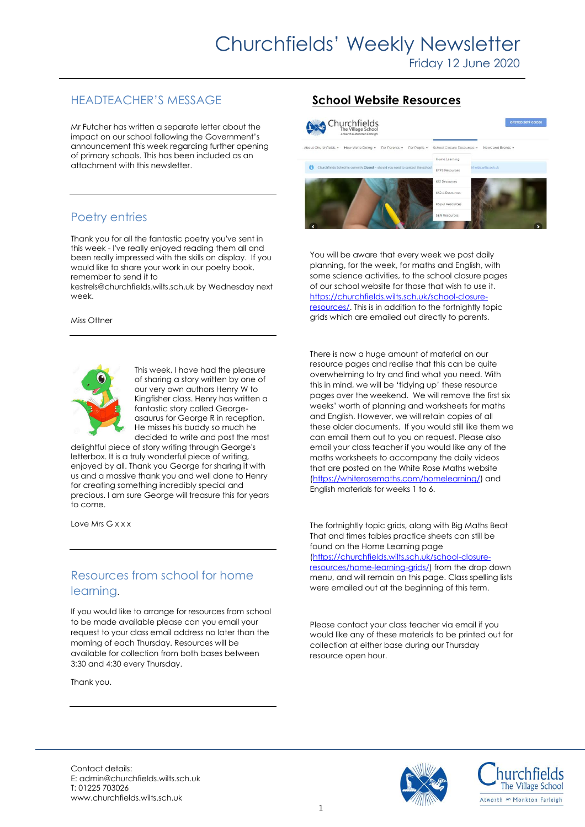## HEADTEACHER'S MESSAGE

Mr Futcher has written a separate letter about the impact on our school following the Government's announcement this week regarding further opening of primary schools. This has been included as an attachment with this newsletter.

## Poetry entries

Thank you for all the fantastic poetry you've sent in this week - I've really enjoyed reading them all and been really impressed with the skills on display. If you would like to share your work in our poetry book, remember to send it to

kestrels@churchfields.wilts.sch.uk by Wednesday next week.

#### Miss Ottner



This week, I have had the pleasure of sharing a story written by one of our very own authors Henry W to Kingfisher class. Henry has written a fantastic story called Georgeasaurus for George R in reception. He misses his buddy so much he decided to write and post the most

delightful piece of story writing through George's letterbox. It is a truly wonderful piece of writing, enjoyed by all. Thank you George for sharing it with us and a massive thank you and well done to Henry for creating something incredibly special and precious. I am sure George will treasure this for years to come.

Love Mrs G x x x

## Resources from school for home learning.

If you would like to arrange for resources from school to be made available please can you email your request to your class email address no later than the morning of each Thursday. Resources will be available for collection from both bases between 3:30 and 4:30 every Thursday.

Thank you.

## **School Website Resources**



You will be aware that every week we post daily planning, for the week, for maths and English, with some science activities, to the school closure pages of our school website for those that wish to use it. [https://churchfields.wilts.sch.uk/school-closure](https://churchfields.wilts.sch.uk/school-closure-resources/)[resources/.](https://churchfields.wilts.sch.uk/school-closure-resources/) This is in addition to the fortnightly topic grids which are emailed out directly to parents.

There is now a huge amount of material on our resource pages and realise that this can be quite overwhelming to try and find what you need. With this in mind, we will be 'tidying up' these resource pages over the weekend. We will remove the first six weeks' worth of planning and worksheets for maths and English. However, we will retain copies of all these older documents. If you would still like them we can email them out to you on request. Please also email your class teacher if you would like any of the maths worksheets to accompany the daily videos that are posted on the White Rose Maths website [\(https://whiterosemaths.com/homelearning/\)](https://whiterosemaths.com/homelearning/) and English materials for weeks 1 to 6.

The fortnightly topic grids, along with Big Maths Beat That and times tables practice sheets can still be found on the Home Learning page [\(https://churchfields.wilts.sch.uk/school-closure](https://churchfields.wilts.sch.uk/school-closure-resources/home-learning-grids/)[resources/home-learning-grids/\)](https://churchfields.wilts.sch.uk/school-closure-resources/home-learning-grids/) from the drop down menu, and will remain on this page. Class spelling lists were emailed out at the beginning of this term.

Please contact your class teacher via email if you would like any of these materials to be printed out for collection at either base during our Thursday resource open hour.

Contact details: E: admin@churchfields.wilts.sch.uk T: 01225 703026 www.churchfields.wilts.sch.uk



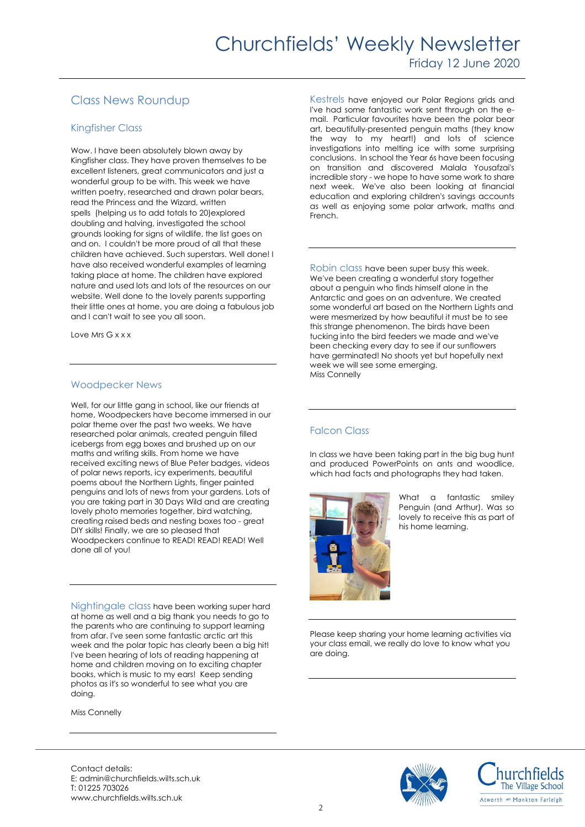## Class News Roundup

#### Kingfisher Class

Wow. I have been absolutely blown away by Kingfisher class. They have proven themselves to be excellent listeners, great communicators and just a wonderful group to be with. This week we have written poetry, researched and drawn polar bears, read the Princess and the Wizard, written spells (helping us to add totals to 20)explored doubling and halving, investigated the school grounds looking for signs of wildlife, the list goes on and on. I couldn't be more proud of all that these children have achieved. Such superstars. Well done! I have also received wonderful examples of learning taking place at home. The children have explored nature and used lots and lots of the resources on our website. Well done to the lovely parents supporting their little ones at home, you are doing a fabulous job and I can't wait to see you all soon.

Love Mrs G x x x

#### Woodpecker News

Well, for our little gang in school, like our friends at home, Woodpeckers have become immersed in our polar theme over the past two weeks. We have researched polar animals, created penguin filled icebergs from egg boxes and brushed up on our maths and writing skills. From home we have received exciting news of Blue Peter badges, videos of polar news reports, icy experiments, beautiful poems about the Northern Lights, finger painted penguins and lots of news from your gardens. Lots of you are taking part in 30 Days Wild and are creating lovely photo memories together, bird watching, creating raised beds and nesting boxes too - great DIY skills! Finally, we are so pleased that Woodpeckers continue to READ! READ! READ! Well done all of you!

Nightingale class have been working super hard at home as well and a big thank you needs to go to the parents who are continuing to support learning from afar. I've seen some fantastic arctic art this week and the polar topic has clearly been a big hit! I've been hearing of lots of reading happening at home and children moving on to exciting chapter books, which is music to my ears! Keep sending photos as it's so wonderful to see what you are doing.

Miss Connelly

Kestrels have enjoyed our Polar Regions grids and I've had some fantastic work sent through on the email. Particular favourites have been the polar bear art, beautifully-presented penguin maths (they know the way to my heart!) and lots of science investigations into melting ice with some surprising conclusions. In school the Year 6s have been focusing on transition and discovered Malala Yousafzai's incredible story - we hope to have some work to share next week. We've also been looking at financial education and exploring children's savings accounts as well as enjoying some polar artwork, maths and French.

Robin class have been super busy this week. We've been creating a wonderful story together about a penguin who finds himself alone in the Antarctic and goes on an adventure. We created some wonderful art based on the Northern Lights and were mesmerized by how beautiful it must be to see this strange phenomenon. The birds have been tucking into the bird feeders we made and we've been checking every day to see if our sunflowers have germinated! No shoots yet but hopefully next week we will see some emerging. Miss Connelly

### Falcon Class

In class we have been taking part in the big bug hunt and produced PowerPoints on ants and woodlice, which had facts and photographs they had taken.



What a fantastic smiley Penguin (and Arthur). Was so lovely to receive this as part of his home learning.

Please keep sharing your home learning activities via your class email, we really do love to know what you are doing.





Contact details: E: admin@churchfields.wilts.sch.uk T: 01225 703026 www.churchfields.wilts.sch.uk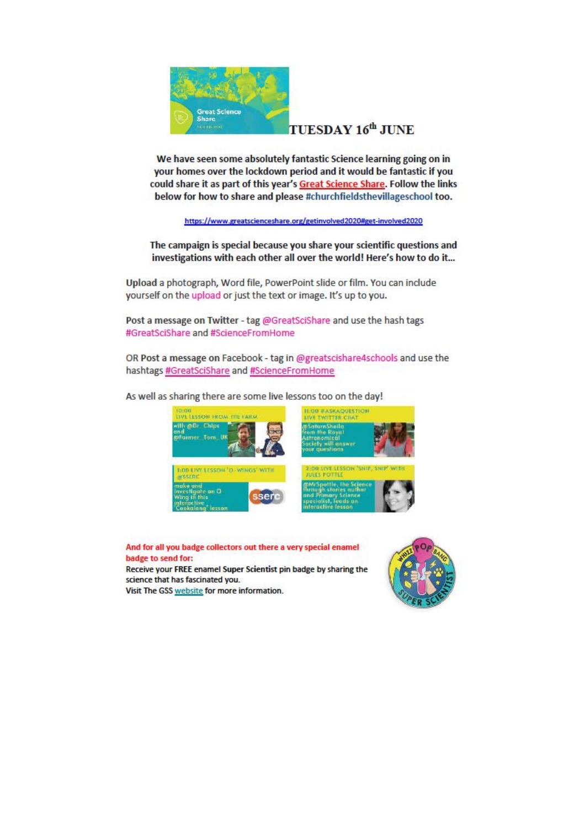

## TUESDAY 16<sup>th</sup> JUNE

We have seen some absolutely fantastic Science learning going on in your homes over the lockdown period and it would be fantastic if you could share it as part of this year's Great Science Share. Follow the links below for how to share and please #churchfieldsthevillageschool too.

https://www.greatscienceshare.org/getinvolved2020#get-involved2020

The campaign is special because you share your scientific questions and investigations with each other all over the world! Here's how to do it...

Upload a photograph, Word file, PowerPoint slide or film. You can include yourself on the upload or just the text or image. It's up to you.

Post a message on Twitter - tag @GreatSciShare and use the hash tags #GreatSciShare and #ScienceFromHome

OR Post a message on Facebook - tag in @greatscishare4schools and use the hashtags #GreatSciShare and #ScienceFromHome

As well as sharing there are some live lessons too on the day!



And for all you badge collectors out there a very special enamel badge to send for:

Receive your FREE enamel Super Scientist pin badge by sharing the science that has fascinated you.

Visit The GSS website for more information.